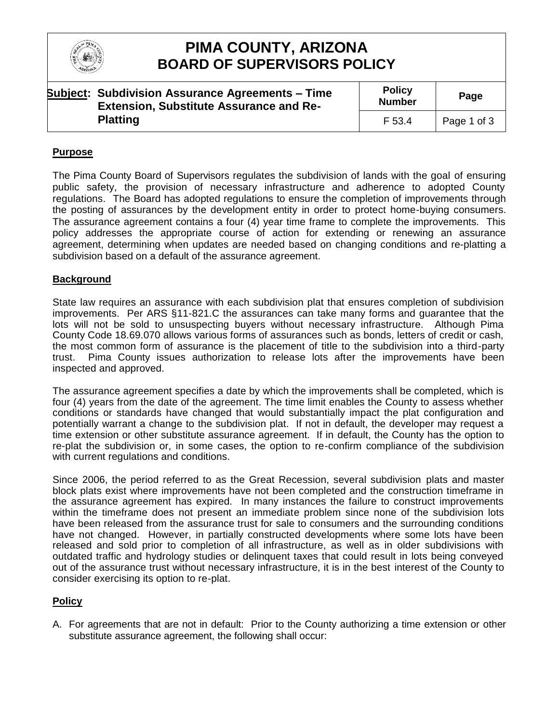

## **PIMA COUNTY, ARIZONA BOARD OF SUPERVISORS POLICY**

| <b>Subject: Subdivision Assurance Agreements - Time</b><br><b>Extension, Substitute Assurance and Re-</b> | <b>Policy</b><br><b>Number</b> | Page        |
|-----------------------------------------------------------------------------------------------------------|--------------------------------|-------------|
| <b>Platting</b>                                                                                           | F 53.4                         | Page 1 of 3 |

### **Purpose**

The Pima County Board of Supervisors regulates the subdivision of lands with the goal of ensuring public safety, the provision of necessary infrastructure and adherence to adopted County regulations. The Board has adopted regulations to ensure the completion of improvements through the posting of assurances by the development entity in order to protect home-buying consumers. The assurance agreement contains a four (4) year time frame to complete the improvements. This policy addresses the appropriate course of action for extending or renewing an assurance agreement, determining when updates are needed based on changing conditions and re-platting a subdivision based on a default of the assurance agreement.

#### **Background**

State law requires an assurance with each subdivision plat that ensures completion of subdivision improvements. Per ARS §11-821.C the assurances can take many forms and guarantee that the lots will not be sold to unsuspecting buyers without necessary infrastructure. Although Pima County Code 18.69.070 allows various forms of assurances such as bonds, letters of credit or cash, the most common form of assurance is the placement of title to the subdivision into a third-party trust. Pima County issues authorization to release lots after the improvements have been inspected and approved.

The assurance agreement specifies a date by which the improvements shall be completed, which is four (4) years from the date of the agreement. The time limit enables the County to assess whether conditions or standards have changed that would substantially impact the plat configuration and potentially warrant a change to the subdivision plat. If not in default, the developer may request a time extension or other substitute assurance agreement. If in default, the County has the option to re-plat the subdivision or, in some cases, the option to re-confirm compliance of the subdivision with current regulations and conditions.

Since 2006, the period referred to as the Great Recession, several subdivision plats and master block plats exist where improvements have not been completed and the construction timeframe in the assurance agreement has expired. In many instances the failure to construct improvements within the timeframe does not present an immediate problem since none of the subdivision lots have been released from the assurance trust for sale to consumers and the surrounding conditions have not changed. However, in partially constructed developments where some lots have been released and sold prior to completion of all infrastructure, as well as in older subdivisions with outdated traffic and hydrology studies or delinquent taxes that could result in lots being conveyed out of the assurance trust without necessary infrastructure, it is in the best interest of the County to consider exercising its option to re-plat.

### **Policy**

A. For agreements that are not in default: Prior to the County authorizing a time extension or other substitute assurance agreement, the following shall occur: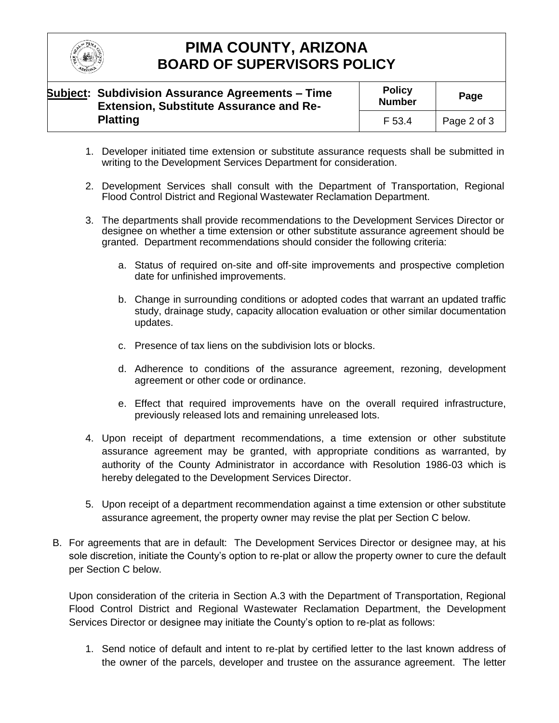

# **PIMA COUNTY, ARIZONA BOARD OF SUPERVISORS POLICY**

| <b>Subject: Subdivision Assurance Agreements – Time</b><br><b>Extension, Substitute Assurance and Re-</b> | <b>Policy</b><br><b>Number</b> | Page        |
|-----------------------------------------------------------------------------------------------------------|--------------------------------|-------------|
| <b>Platting</b>                                                                                           | F 53.4                         | Page 2 of 3 |

- 1. Developer initiated time extension or substitute assurance requests shall be submitted in writing to the Development Services Department for consideration.
- 2. Development Services shall consult with the Department of Transportation, Regional Flood Control District and Regional Wastewater Reclamation Department.
- 3. The departments shall provide recommendations to the Development Services Director or designee on whether a time extension or other substitute assurance agreement should be granted. Department recommendations should consider the following criteria:
	- a. Status of required on-site and off-site improvements and prospective completion date for unfinished improvements.
	- b. Change in surrounding conditions or adopted codes that warrant an updated traffic study, drainage study, capacity allocation evaluation or other similar documentation updates.
	- c. Presence of tax liens on the subdivision lots or blocks.
	- d. Adherence to conditions of the assurance agreement, rezoning, development agreement or other code or ordinance.
	- e. Effect that required improvements have on the overall required infrastructure, previously released lots and remaining unreleased lots.
- 4. Upon receipt of department recommendations, a time extension or other substitute assurance agreement may be granted, with appropriate conditions as warranted, by authority of the County Administrator in accordance with Resolution 1986-03 which is hereby delegated to the Development Services Director.
- 5. Upon receipt of a department recommendation against a time extension or other substitute assurance agreement, the property owner may revise the plat per Section C below.
- B. For agreements that are in default: The Development Services Director or designee may, at his sole discretion, initiate the County's option to re-plat or allow the property owner to cure the default per Section C below.

Upon consideration of the criteria in Section A.3 with the Department of Transportation, Regional Flood Control District and Regional Wastewater Reclamation Department, the Development Services Director or designee may initiate the County's option to re-plat as follows:

1. Send notice of default and intent to re-plat by certified letter to the last known address of the owner of the parcels, developer and trustee on the assurance agreement. The letter